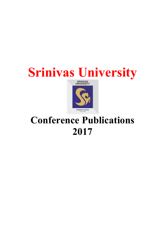## Srinivas University



## Conference Publications 2017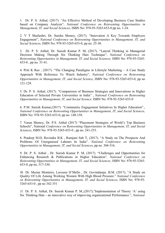1. Dr. P. S. Aithal, (2017). "An Effective Method of Developing Business Case Studies based on Company Analysis", National Conference on Reinventing Opportunities in Management, IT, and Social Sciences, ISBN No: 978-93-5265-653-0 pp no. 1-24.

2. V T Shailashri, Dr. Sureka Shenoy, (2017). "Innovation A Key Towards Employee Engagement", National Conference on Reinventing Opportunities in Management, IT, and Social Sciences, ISBN No: 978-93-5265-653-0, pp no. 25-30.

3. Dr. P. S. Aithal, Dr. Suresh Kumar P. M, (2017). "Lateral Thinking in Managerial Decision Making Through Six Thinking Hats Technique", National Conference on Reinventing Opportunities in Management, IT, and Social Sciences, ISBN No: 978-93-5265- 653-0 , pp no. 31-41.

4. Priti K Rao , (2017). "The Changing Paradigms in Lifestyle Marketing – A Case Study Approach With Reference To Watch Industry", National Conference on Reinventing Opportunities in Management, IT, and Social Science, ISBN No: 978-93-5265-653-0, pp no 121-129.

5. Dr. P. S. Aithal, (2017). "Comparision of Business Strategies and Innovations in Higher Education of Selected Private Universities in India" , National Conference on Reinventing Opportunities in Management, IT, and Social Science. ISBN No: 978-93-5265-653-0

6. P.M. Suresh Kumar,(2017). "Community Engagement Initiatives In Higher Education"., National Conference on Reinventing Opportunities in Management, IT, and Social Sciences, ISBN No: 978-93-5265-653-0, pp no. 148-158.

7. Varun Shenoy, Dr. P.S. Aithal (2017) "Placement Strategies of World's Top Business Schools", National Conference on Reinventing Opportunities in Management, IT, and Social Sciences, ISBN No: 978-93-5265-653-0, pp no. 241-253.

8. Pradeep M.D, Ravindra B.K , Ramjani Sab T, (2017). "A Study on The Prospects And Problems Of Unorganised Labours In India". National Conference on Reinventing Opportunities in Management, IT, and Social Sciences, pp no. 304-316.

9. Dr. P. S. Aithal , Dr. Suresh Kumar P. M, (2017). "Challenges and Opportunities for Enhancing Research & Publications in Higher Education". National Conference on Reinventing Opportunities in Management, IT, and Social Sciences, ISBN No: 978-93-5265- 653-0, pp no, 317-330.

10. Dr. Meena Monteiro, Laveena D'Mello , Dr. Govindaraju. B.M. (2017), "A Study on Quality Of Life Among Working Women With High Blood Pressure." National Conference on Reinventing Opportunities in Management, IT, and Social Sciences, ISBN No: 978-93- 5265-653-0 , pp no 342-351

11. Dr. P. S. Aithal, Dr. Suresh Kumar P. M.,(2017),"Implementation of Theory 'A' using Six Thinking Hats - an innovative way of improving organizational Performance.", National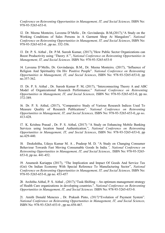Conference on Reinventing Opportunities in Management, IT, and Social Sciences, ISBN No: 978-93-5265-653-0.

12. Dr. Meena Monteiro, Laveena D'Mello , Dr. Govindaraju. B.M,(2017),"A Study on the Working Conditions of Sales Persons in A Garment Shop At Mangalore". National Conference on Reinventing Opportunities in Management, IT, and Social Sciences, ISBN No: 978-93-5265-653-0 , pp no. 352-356.

13. Dr. P. S. Aithal , Dr. P.M. Suresh Kumar, (2017),"How Public Sector Organizations can Boost Productivity using 'Theory A'", National Conference on Reinventing Opportunities in Management, IT, and Social Sciences. ISBN No: 978-93-5265-653-0

14. Laveena D'Mello, Dr. Govindaraju. B.M., Dr. Meena Monteiro, (2017), "Influence of Religion And Spirituality On Hiv Positive People". National Conference on Reinventing Opportunities in Management, IT, and Social Sciences, ISBN No: 978-93-5265-653-0, pp no.357-362.

15. Dr. P. S. Aithal , Dr. Suresh Kumar P. M, (2017), "Interconnecting Theory A and ABC Model of Organizational Research Performance." National Conference on Reinventing Opportunities in Management, IT, and Social Sciences, ISBN No: 978-93-5265-653-0, pp no. 372-389.

16. Dr. P. S. Aithal, (2017), "Comparative Study of Various Research Indices Used To Measure Quality of Research Publications". National Conference on Reinventing Opportunities in Management, IT, and Social Sciences, ISBN No: 978-93-5265-653-0, pp no. 413-428.

17. K. Krishna Prasad , Dr. P. S. Aithal, (2017) "A Study on Enhancing Mobile Banking Services using location based Authentication.", National Conference on Reinventing Opportunities in Management, IT, and Social Sciences, ISBN No: 978-93-5265-653-0, pp no.429-440.

18. Deekshitha, Udaya Kumar M. A , Pradeep M. D, "A Study on Changing Consumer Behaviour Towards Fast Moving Consumable Goods In India.", National Conference on Reinventing Opportunities in Management, IT, and Social Sciences,. ISBN No: 978-93-5265- 653-0, pp no. 441-452.

19. Anumesh Kariappa (2017), "The Implication and Impact Of Goods And Service Tax (Gst) On Indian Economy With Special Reference To Manufacturing Sector", National Conference on Reinventing Opportunities in Management, IT, and Social Sciences, ISBN No: 978-93-5265-653-0, pp no. 453-457

20. Architha Aithal, P. S. Aithal , (2017),"Task-Shifting – An optimum management strategy of Health Care organizations in developing countries.", National Conference on Reinventing Opportunities in Management, IT, and Social Sciences. ISBN No: 978-93-5265-653-0.

21. Amith Donald Menezes , Dr. Prakash Pinto, (2017)"Evolution of Payment System". National Conference on Reinventing Opportunities in Management, IT, and Social Sciences, ISBN No: 978-93-5265-653-0 , pp no.458-467.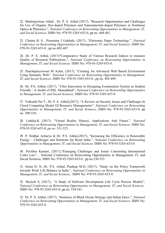22. Shubrajyotsna Aithal , Dr. P. S. Aithal (2017), "Research Opportunities and Challenges for Use of Organic Dye-doped Polymers and Nanomaterials-doped Polymers in Nonlinear Optics & Photonics.", National Conference on Reinventing Opportunities in Management, IT, and Social Sciences, ISBN No: 978-93-5265-653-0, pp no .468-481.

23. Chaitra B. S , Poornima J Gokhale, (2017), "Electronic Paper Technology." ,National Conference on Reinventing Opportunities in Management, IT, and Social Sciences, ISBN No: 978-93-5265-653-0 , pp no.482-487.

24. Dr. P. S. Aithal, (2017)"Comparative Study of Various Research Indices to measure Quality of Research Publications.", National Conference on Reinventing Opportunities in Management, IT, and Social Sciences. ISBN No: 978-93-5265-653-0.

25. Panchajanyeswari M Achar, (2017), "Creating An Advanced Web Based Environment Using Semantic Web", National Conference on Reinventing Opportunities in Management, IT, and Social Sciences, ISBN No: 978-93-5265-653-0 , pp no. 492-499.

26. Dr. P.S. Aithal, (2017), "Ultra Innovation in Designing Examination System as Student Friendly : A model of IIM, Ahmedabad", National Conference on Reinventing Opportunities in Management, IT, and Social Sciences. ISBN No: 978-93-5265-653-0

27. Vaikunth Pai T., Dr. P. S. Aithal,(2017), "A Review on Security Issues and Challenges In Cloud Computing Model Of Resource Managementx", National Conference on Reinventing Opportunities in Management, IT, and Social Sciences, ISBN No: 978-93-5265-653-0, pp no. 500-510.

28. Lathika.K (2017), "Virtual Reality History, Applications And Future.", National Conference on Reinventing Opportunities in Management, IT, and Social Sciences, ISBN No: 978-93-5265-653-0, pp no. 511-523.

29. P. Sridhar Acharya & Dr. P.S. Aithal,(2017), "Increasing the Efficiency in Renewable Energy – Challenges and Solutions for Rural India.", National Conference on Reinventing Opportunities in Management, IT, and Social Sciences. ISBN No: 978-93-5265-653-0.

30. Pavithra Kumari, (2017),"Emerging Challenges and Issues Concerning International Cyber Law". , National Conference on Reinventing Opportunities in Management, IT, and Social Sciences, ISBN No: 978-93-5265-653-0 , pp no.530-533

31. Sonia D. N, Dr. P.S. Aithal, Pradeep M.D, (2017), "Study on the Policy Framework towards Work Life Balance in India.", National Conference on Reinventing Opportunities in Management, IT, and Social Sciences,. ISBN No: 978-93-5265-653-0.

32. Shylesh S, (2017), "A Study of Software Development Life Cycle Process Models", National Conference on Reinventing Opportunities in Management, IT, and Social Sciences,. ISBN No: 978-93-5265-653-0, pp no. 534-541.

33. Dr. P. S. Aithal, (2017), "Instances of Black Ocean Strategy and Indian Epics.", National Conference on Reinventing Opportunities in Management, IT, and Social Sciences. ISBN No: 978-93-5265-653-0.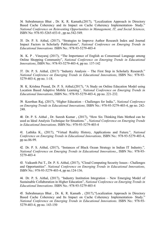34. Subrahmanya Bhat , Dr. K. R. Kamath,(2017), "Localization Approach in Directory Based Cache Coherency and its Impact on Cache Coherency Implementation- Study." National Conference on Reinventing Opportunities in Management, IT, and Social Sciences, ISBN No: 978-93-5265-653-0 , pp no.542-549.

35. Dr. P. S. Aithal, (2017), "Strategies to Improve Author Research Index and Journal Impact Factors in Scholarly Publications", National Conference on Emerging Trends in Educational Innovations. ISBN No.: 978-93-5279-403-4

36. K. P . Vinayaraj (2017), "The Importance of English as Consensual Language among Online Shopping Community", National Conference on Emerging Trends in Educational Innovations, ISBN No.: 978-93-5279-403-4, pp no. 137-142

37. Dr. P. S. Aithal, (2017) "Industry Analysis – The First Step in Scholarly Research." National Conference on Emerging Trends in Educational Innovations, ISBN No.: 978-93- 5279-403-4, pp no. 1-18.

38. K. Krishna Prasad, Dr. P. S. Aithal,(2017), "A Study on Online Education Model using Location Based Adaptive Mobile Learning", National Conference on Emerging Trends in Educational Innovations, ISBN No.: 978-93-5279-403-4, pp no. 221-232.

39. Keerthan Raj, (2017), "Higher Education – Challenges for India.", National Conference on Emerging Trends in Educational Innovations, ISBN No.: 978-93-5279-403-4, pp no. 242- 248.

40. Dr. P. S. Aithal , Dr. Suresh Kumar , (2017), "How Six Thinking Hats Method can be used as Ideal Analysis Technique for Situations." , National Conference on Emerging Trends in Educational Innovations. ISBN No.: 978-93-5279-403-4

41. Lathika K., (2017), "Virtual Reality History, Applications and Future.", National Conference on Emerging Trends in Educational Innovations, ISBN No.: 978-93-5279-403-4, pp no.86-99.

42. Dr. P. S. Aithal, (2017), "Instances of Black Ocean Strategy in Indian IT Industry.", National Conference on Emerging Trends in Educational Innovations., ISBN No.: 978-93- 5279-403-4

43. Vaikunth Pai T., Dr. P. S. Aithal, (2017), "Cloud Computing Security Issues - Challenges and Opportunities". National Conference on Emerging Trends in Educational Innovations, ISBN No.: 978-93-5279-403-4, pp no.124-136.

44. Dr. P. S. Aithal, (2017), "Industry Institution Integration – New Emerging Model of Sustainable Collaboration in Higher Education", National Conference on Emerging Trends in Educational Innovations. ISBN No.: 978-93-5279-403-4

45. Subrahmanya Bhat , Dr. K. R. Kamath , (2017),"Localization Approach in Directory Based Cache Coherency and Its Impact on Cache Coherency Implementation- Study." National Conference on Emerging Trends in Educational Innovations. ISBN No.: 978-93- 5279-403-4, pp no. 143-150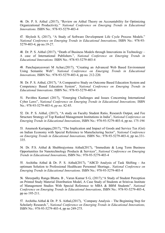46. Dr. P. S. Aithal ,(2017), "Review on Aithal Theory on Accountability for Optimizing Organizational Productivity." National Conference on Emerging Trends in Educational Innovations. ISBN No.: 978-93-5279-403-4

47. Shylesh S, (2017), "A Study of Software Development Life Cycle Process Models." National Conference on Emerging Trends in Educational Innovations, ISBN No.: 978-93- 5279-403-4, pp no.19-27.

48. Dr. P. S. Aithal (2017), "Death of Business Models through Innovations in Technology – A case of International Publishers.", National Conference on Emerging Trends in Educational Innovations. ISBN No.: 978-93-5279-403-4

49. Panchajanyeswari M Achar,(2017), "Creating an Advanced Web Based Environment Using Semantic Web". National Conference on Emerging Trends in Educational Innovations, ISBN No.: 978-93-5279-403-4, pp no. 212-220.

50. Dr. P. S. Aithal, (2017), "A Comparative Study on Outcome Based Education System and Competency Based Education System", National Conference on Emerging Trends in Educational Innovations. ISBN No.: 978-93-5279-403-4

51. Pavithra Kumari (2017), "Emerging Challenges and Issues Concerning International Cyber Laws", National Conference on Emerging Trends in Educational Innovations, ISBN No.: 978-93-5279-403-4, pp no. 82-85.

52. Dr. P. S. Aithal, (2017), "A study on Faculty Student Ratio, Research Output, and Fee Structure Strategy of Top Ranked Management Institutions in India", National Conference on Emerging Trends in Educational Innovations, ISBN No.: 978-93-5279-403-4, pp no. 175-194

53. Anumesh Kariappa,(2017), "The Implication and Impact of Goods and Service Tax (Gst) on Indian Economy with Special Reference to Manufacturing Sector", National Conference on Emerging Trends in Educational Innovations, ISBN No.: 978-93-5279-403-4, pp no.331- 335.

54. Dr. P.S. Aithal & Shubhrajyotsna Aithal(2017), "Immediate & Long Term Business Opportunities for Nanotechnology Products & Services", National Conference on Emerging Trends in Educational Innovations, ISBN No.: 978-93-5279-403-4

55. Architha Aithal & Dr. P. S. Aithal(2017), "ABCD Analysis of Task Shifting - An optimum Solution to Professional Healthcare Personnel Shortage., National Conference on Emerging Trends in Educational Innovations. ISBN No.: 978-93-5279-403-4

56. Shreepathy Ranga Bhatta. B , Varun Kumar S G, (2017),"A Study of Student Perception on Printed Study Material Distribution Model, A Case Study of Students at Srinivas Institute of Management Studies With Special Reference to MBA & BBM Students". National Conference on Emerging Trends in Educational Innovations, ISBN No.: 978-93-5279-403-4, pp no 195-211.

57. Architha Aithal & Dr. P. S. Aithal,(2017), "Company Analysis – The Beginning Step for Scholarly Research.", National Conference on Emerging Trends in Educational Innovations, ISBN No.: 978-93-5279-403-4, pp no 249-275.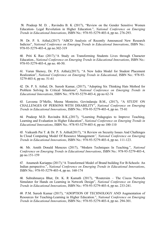58. Pradeep M. D. , Ravindra B. K (2017), "Review on the Gender Sensitive Women Education- Legal Revolution in Higher Education.", National Conference on Emerging Trends in Educational Innovations, ISBN No.: 978-93-5279-403-4, pp no. 276-293.

59. Dr. P. S. Aithal,(2017) "ABCD Analysis of Recently Announced New Research Indicies", National Conference on Emerging Trends in Educational Innovations, ISBN No.: 978-93-5279-403-4, pp no.302-319

60. Priti K Rao (2017),"A Study on Transforming Students Lives through Character Education., National Conference on Emerging Trends in Educational Innovations, ISBN No.: 978-93-5279-403-4, pp no. 40-50.

61. Varun Shenoy, Dr. P.S. Aithal,(2017), "A New Iedra Model for Student Placement Realization", National Conference on Emerging Trends in Educational, ISBN No.: 978-93- 5279-403-4, pp no. 51-61

62. Dr. P. S. Aithal, Dr. Suresh Kumar, (2017), "Adopting Six Thinking Hats Method for Problem Solving In Critical Situations", National Conference on Emerging Trends in Educational Innovations, ISBN No.: 978-93-5279-403-4, pp no 62-74

63. Laveena D'Mello, Meena Monteiro, Govindaraju B.M., (2017), "A STUDY ON CHALLENGES OF PERSONS WITH DISABILITY", National Conference on Emerging Trends in Educational Innovations, ISBN No.: 978-93-5279-403-4, pp no. 75-81

64. Pradeep M.D. Ravindra B.K.,(2017), "Learning Pedagogies to Improve Teaching, Learning and Evaluation in Higher Education", National Conference on Emerging Trends in Educational Innovations, ISBN No.: 978-93-5279-403-4, pp no 100-110

65. Vaikunth Pai T. & Dr. P. S. Aithal(2017), "A Review on Security Issues And Challenges In Cloud Computing Model Of Resource Management", National Conference on Emerging Trends in Educational Innovations, ISBN No.: 978-93-5279-403-4, pp no. 111-123.

66. Mr. Amith Donald Menezes (2017), "Modern Techniques In Teaching.", National Conference on Emerging Trends in Educational Innovations, ISBN No.: 978-93-5279-403-4, pp no.151-159

67. Anumesh Kariappa (2017),"A Transformed Model of Brand building For B-Schools: An Indian perspective.", National Conference on Emerging Trends in Educational Innovations, ISBN No.: 978-93-5279-403-4, pp no. 160-174

68. Subrahmanya Bhat, Dr. K. R Kamath (2017), "Routersim – The Ciscos Network Simulator for Hands on Learning in Network Design", National Conference on Emerging Trends in Educational Innovations, ISBN No.: 978-93-5279-403-4, pp no. 233-241.

69. P.M. Suresh Kumar (2017), "ADOPTION OF TECHNOLOGY AND Augmentation of Resources for Teaching-Learning in Higher Education.", National Conference on Emerging Trends in Educational Innovations, ISBN No.: 978-93-5279-403-4, pp no. 294-301.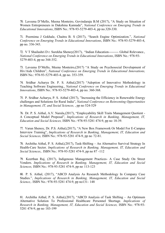70. Laveena D'Mello, Meena Monteiro, Govindaraju B.M (2017), "A Study on Situation of Women Entrepreneurs in Dakshina Kannada", National Conference on Emerging Trends in Educational Innovations, ISBN No.: 978-93-5279-403-4, pp no.320-330.

71. Poornima J Gokhale, Chaitra B. S (2017), "Search Engine Optimization.", National Conference on Emerging Trends in Educational Innovations, ISBN No.: 978-93-5279-403-4, pp no. 336-343.

72. V T Shailashri D r. Surekha Shenoy(2017), "Indian Education --------- Global Relevance., National Conference on Emerging Trends in Educational Innovations, ISBN No.: 978-93- 5279-403-4, pp no 344-352.

73. Laveena D'Mello, Meena Monteiro,(2017) "A Study on Psychosocial Development of Hiv/Aids Children", National Conference on Emerging Trends in Educational Innovations, ISBN No.: 978-93-5279-403-4, pp no. 353-359.

74. Sridhar Acharya Dr. P. S. Aithal,(2017) "Adoption of Innovative Methodology in Teaching Software Engineering., National Conference on Emerging Trends in Educational Innovations, ISBN No.: 978-93-5279-403-4, pp no. 360-368.

75. P. Sridhar Acharya, P. S. Aithal (2017), "Increasing the Efficiency in Renewable Energy challenges and Solutions for Rural India", National Conference on Reinventing Opportunities in Management, IT, and Social Sciences, , pp no 524-529

76. Dr. P. S. Aithal, A.V. Narula,(2017), "Employability Skill Traits Management Quotient - A Conceptual Model Proposal", Implications of Research in Banking, Management, IT, Education and Social Sciences, ISBN No.: 978-93-5281 474-9, pp no 18-39.

77. Varun Shenoy, Dr. P.S. Aithal,(2017), "A New Box Framework Or Model For E-Campus Interview Training", Implications of Research in Banking, Management, IT, Education and Social Sciences, ISBN No.: 978-93-5281 474-9, pp no 72-81.

78. Architha Aithal, P. S. Aithal,(2017), Task-Shifting – An Alternative Survival Strategy In Health-Care Sector. Implications of Research in Banking, Management, IT, Education and Social Sciences,. ISBN No.: 978-93-5281 474-9, pp no 87 -112

79. Keerthan Raj, (2017), Indigenous Management Practices- A Case Study On Street Vendors. Implications of Research in Banking, Management, IT, Education and Social Sciences, ISBN No.: 978-93-5281 474-9, pp no 113-123

80. P. S. Aithal, (2017), "ABCD Analysis As Research Methodology In Company Case Studies.", Implications of Research in Banking, Management, IT, Education and Social Science,. ISBN No.: 978-93-5281 474-9, pp no131- 148

<sup>81.</sup> Architha Aithal, P. S. Aithal,(2017), "ABCD Analysis of Task Shifting – An Optimum Alternative Solution To Professional Healthcare Personnel Shortage. Implications of Research in Banking, Management, IT, Education and Social Sciences, ISBN No.: 978-93- 5281 474-9, pp no 183-199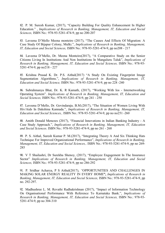82. P. M. Suresh Kumar, (2017), "Capacity Building For Quality Enhancement In Higher Education." , Implications of Research in Banking, Management, IT, Education and Social Sciences, ISBN No.: 978-93-5281-474-9, pp no 200-207

83. Laveena D'Mello Meena monteiro (2017), "The Causes And Effects Of Migration: A Case Study Of Bijapur Colony, Mulki.", Implications of Research in Banking, Management, IT, Education and Social Sciences, ISBN No.: 978-93-5281-474-9, pp no208 - 217

84. Laveena D'Mello, Dr. Meena Monteiro(2017), "A Comparative Study on the Senior Citizens Living In Institutions And Non Institutions In Mangaluru Taluk", Implications of Research in Banking, Management, IT, Education and Social Sciences, ISBN No.: 978-93- 5281-474-9, pp no218 - 227

85. Krishna Prasad K. Dr. P.S. Aithal(2017) "A Study On Existing Fingerprint Image Segmentation Algorithms.", Implications of Research in Banking, Management, IT, Education and Social Science, ISBN No.: 978-93-5281-474-9, pp no 228 -240

86. Subrahmanya Bhat, Dr. K. R Kamath, (2017), "Working With Ios - Internetworking Operating System". Implications of Research in Banking, Management, IT, Education and Social Sciences, ISBN No.: 978-93-5281-474-9, pp 241 - 250

87. Laveena D'Mello, Dr. Govindaraju. B.M.(2017), "The Situation of Women Living With Hiv/Aids In Dakshina Kannada.", Implications of Research in Banking, Management, IT, Education and Social Sciences,. ISBN No.: 978-93-5281-474-9, pp no no251 -260

88. Amith Donald Menezes (2017), "Financial Innovations in Indian Banking Industry - A Case Study Approach.", Implications of Research in Banking, Management, IT, Education and Social Sciences. ISBN No.: 978-93-5281-474-9, pp no 261 - 268

89. P. S. Aithal, Suresh Kumar P. M.(2017), "Integrating Theory A And Six Thinking Hats Technique For Improved Organizational Performance", Implications of Research in Banking, Management, IT, Education and Social Sciences,. ISBN No.: 978-93-5281-474-9, pp no 269- 285

90. V T Shailashri, Dr Surekha Shenoy, (2017), "Employee Engagement In The Insurance Sector" Implications of Research in Banking, Management, IT, Education and Social Sciences, ISBN No.: 978-93-5281-474-9, pp no 286-292

91. P. Sridhar Acharya, P S Aithal(2017), "OPPORTUNITIES AND CHALLENGES IN MAKING SOLAR ENERGY REALITY IN EVERY HOME", Implications of Research in Banking, Management, IT, Education and Social Sciences, ISBN No.: 978-93-5281-474-9, pp no. 292-297.

92. Madhushree L. M. Revathi Radhakrishnan (2017), "Impact of Information Technology On Organisational Performance With Reference To Karnataka Bank.", Implications of Research in Banking, Management, IT, Education and Social Sciences, ISBN No.: 978-93- 5281-474-9, pp no 304-310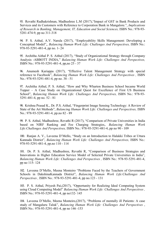93. Revathi Radhakrishnan, Madhushree L.M (2017),"Impact of GST in Bank Products and Services and its Customers with Reference to Corporation Bank in Mangalore.", Implications of Research in Banking, Management, IT, Education and Social Sciences, ISBN No.: 978-93- 5281-474-9, pp no 311-318

94. P. S. Aithal, A.V. Narula (2017), "Employability Skills Management: Developing a Conceptual Model",, Balancing Human Work Life: Challenges And Perspectives, ISBN No.: 978-93-5291-481-4, pp no. 1- 24

95. Architha Aithal P. S. Aithal (2017), "Study of Organizational Strategy through Company Analysis -ABBOTT INDIA," Balancing Human Work Life: Challenges And Perspectives, ISBN No.: 978-93-5291-481-4, pp,no 25 - 37

96. Anumesh Kariappa (2017), "Effective Talent Management Strategy with special reference to Facebook", Balancing Human Work Life: Challenges And Perspectives , ISBN No.: 978-93-5291-481-4, pp no. 38 - 51

97. Architha Aithal, P. S. Aithal, "How and Why Wharton Business School became World Topper – A Case Study on Organizational Quest for Excellence of First US Business School", Balancing Human Work Life: Challenges And Perspectives, ISBN No.: 978-93- 5291-481-4, pp no. 52 - 81

98. Krishna Prasad K., Dr. P.S. Aithal, "Fingerprint Image Sensing Technology: A Review of State of the Art Methods", Balancing Human Work Life: Challenges and Perspectives, ISBN No.: 978-93-5291-481-4, pp.no 82 - 89

99. P. S. Aithal, Madhushree, Revathi R (2017), "Comparison of Private Universities in India based on NIRF Ranking and Fee Charging Strategies,. Balancing Human Work Life:Challenges And Perspectives, ISBN No.: 978-93-5291-481-4, pp no 90 - 109

100. Ranjan A. V., Laveena D'Mello, "Study on an Introduction to Halakki Tribes at Uttara Kannada District", Balancing Human Work Life: Challenges And Perspectives, ISBN No.: 978-93-5291-481-4, pp.no 110 - 114

101. Dr. P. S. Aithal, Madhushree, Revathi R, "Comparison of Business Strategies and Innovations in Higher Education Service Model of Selected Private Universities in India", Balancing Human Work Life: Challenges And Perspectives , ISBN No.: 978-93-5291-481-4, pp no 115- 124

102. Laveena D'Mello, Meena Monteiro "Problems Faced by the Teachers of Government Schools in DakshinaKannada District", Balancing Human Work Life: Challenges And Perspectives , ISBN No.: 978-93-5291-481-4, pp no.123 - 131

103. P. S. Aithal, Priyesh Pai,(2017), "Opportunity for Realizing Ideal Computing System using Cloud Computing Model" Balancing Human Work Life: Challenges And Perspectives, ISBN No.: 978-93-5291-481-4, pp no132- 145

104. Laveena D'Mello, Meena Monteiro,(2017), "Problems of mentally ill Patients: A case study of Mangaluru Taluk", Balancing Human Work Life: Challenges And Perspectives, ISBN No.: 978-93-5291-481-4, pp no 146 -153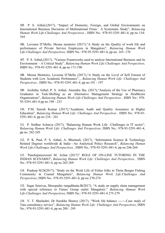105. P. S. Aithal,(2017), "Impact of Domestic, Foreign, and Global Environments on International Business Decisions of Multinational Firms : A Systematic Study", Balancing Human Work Life:Challenges And Perspectives , ISBN No.: 978-93-5291-481-4, pp no 154- 164

106. Laveena D'Mello, Meena monteiro (2017),"A Study on the Quality of work life and performance of Private Service Employees in Mangalore", Balancing Human Work Life:Challenges And Perspectives, ISBN No.: 978-93-5291-481-4, pp no. 165 -170

107. P. S. Aithal,(2017), "Various Frameworks used to analyse International Business and its Environment – A Critical Study", Balancing Human Work Life:Challenges And Perspectives, ISBN No.: 978-93-5291-481-4, pp no 171-190

108. Meena Monteiro, Laveena D'Mello (2017),"A Study on the Level of Self Esteem of Students with Low Academic Perfomance", , Balancing Human Work Life: Challenges And Perspectives , ISBN No.: 978-93-5291-481-4, pp no 191 - 197

109. Architha Aithal, P. S. Aithal, Ateendra Jha, (2017),"Analysis of the Use of Pharmacy Graduates in Task-Shifting as an Alternative Management Strategy in Healthcare Organizations", Balancing Human Work Life:Challenges And Perspectives , ISBN No.: 978- 93-5291-481-4 pp no 198 - 233

110. P.M. Suresh Kumar (2017),"Academic Audit and Quality Assurance in Higher Education", Balancing Human Work Life: Challenges And Perspectives , ISBN No.: 978-93- 5291-481-4, pp no 234 - 241

111. P. Sridhar Acharya (2017), "Balancing Human Work Life –Challenges in IT sector", Balancing Human Work Life: Challenges And Perspectives, ISBN No.: 978-93-5291-481-4, pp no. 242-245

112. P. K. Paul, P. S. Aithal, A. Bhuimali, (2017), "Information Science & Technology Related Degrees worldwide & India—An Analytical Policy Research", Balancing Human Work Life:Challenges And Perspectives , ISBN No.: 978-93-5291-481-4, pp no 246-264

113. Panchajanyeswari M. Achar (2017)" ROLE OF ON-LINE TUTORING IN THE INDIAN SCENARIO", Balancing Human Work Life: Challenges And Perspectives , ISBN No.: 978-93-5291-481-4, pp no 265-269

114. Pradeep M.D(2017), "Study on the Work Life of Fisher folks in Thota Bengre Fishing Community in Coastal Mangaluru", Balancing Human Work Life:Challenges And Perspectives, ISBN No.: 978-93-5291-481-4, pp no 270-274

115. Sagar Srinivas, Shreepathy rangabhatta.B(2017), "A study on supply chain management with special reference to Future Group outlet Mangalore." Balancing Human Work Life:Challenges And Perspectives, ISBN No.: 978-93-5291-481-4 275-279

116. V. T. Shailashri, Dr Surekha Shenoy (2017), "Work life balance -------Case study of Tata consultancy service", Balancing Human Work Life: Challenges And Perspectives, ISBN No.: 978-93-5291-481-4, pp no 280 - 289